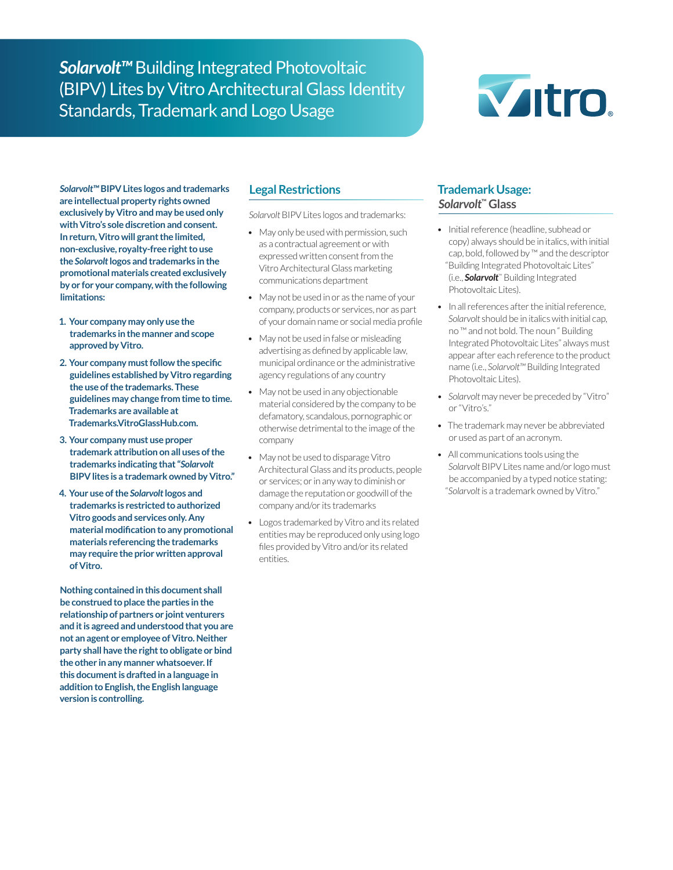*Solarvolt™* Building Integrated Photovoltaic (BIPV) Lites by Vitro Architectural Glass Identity Standards, Trademark and Logo Usage



*Solarvolt™* **BIPV Lites logos and trademarks are intellectual property rights owned exclusively by Vitro and may be used only with Vitro's sole discretion and consent. In return, Vitro will grant the limited, non-exclusive, royalty-free right to use the** *Solarvolt* **logos and trademarks in the promotional materials created exclusively by or for your company, with the following limitations:**

- **1. Your company may only use the trademarks in the manner and scope approved by Vitro.**
- **2. Your company must follow the specific guidelines established by Vitro regarding the use of the trademarks. These guidelines may change from time to time. Trademarks are available at Trademarks.VitroGlassHub.com.**
- **3. Your company must use proper trademark attribution on all uses of the trademarks indicating that "***Solarvolt*  **BIPV lites is a trademark owned by Vitro."**
- **4. Your use of the** *Solarvolt* **logos and trademarks is restricted to authorized Vitro goods and services only. Any material modification to any promotional materials referencing the trademarks may require the prior written approval of Vitro.**

**Nothing contained in this document shall be construed to place the parties in the relationship of partners or joint venturers and it is agreed and understood that you are not an agent or employee of Vitro. Neither party shall have the right to obligate or bind the other in any manner whatsoever. If this document is drafted in a language in addition to English, the English language version is controlling.**

# **Legal Restrictions**

*Solarvolt* BIPV Lites logos and trademarks:

- May only be used with permission, such as a contractual agreement or with expressed written consent from the Vitro Architectural Glass marketing communications department
- May not be used in or as the name of your company, products or services, nor as part of your domain name or social media profile
- May not be used in false or misleading advertising as defined by applicable law, municipal ordinance or the administrative agency regulations of any country
- May not be used in any objectionable material considered by the company to be defamatory, scandalous, pornographic or otherwise detrimental to the image of the company
- May not be used to disparage Vitro Architectural Glass and its products, people or services; or in any way to diminish or damage the reputation or goodwill of the company and/or its trademarks
- Logos trademarked by Vitro and its related entities may be reproduced only using logo files provided by Vitro and/or its related entities.

# **Trademark Usage:**  *Solarvolt***™ Glass**

- Initial reference (headline, subhead or copy) always should be in italics, with initial cap, bold, followed by ™ and the descriptor "Building Integrated Photovoltaic Lites" (i.e., *Solarvolt*™ Building Integrated Photovoltaic Lites).
- In all references after the initial reference, *Solarvolt* should be in italics with initial cap, no ™ and not bold. The noun " Building Integrated Photovoltaic Lites" always must appear after each reference to the product name (i.e., *Solarvolt™* Building Integrated Photovoltaic Lites).
- *• Solarvolt* may never be preceded by "Vitro" or "Vitro's."
- The trademark may never be abbreviated or used as part of an acronym.
- All communications tools using the *Solarvolt* BIPV Lites name and/or logo must be accompanied by a typed notice stating: "*Solarvolt* is a trademark owned by Vitro."